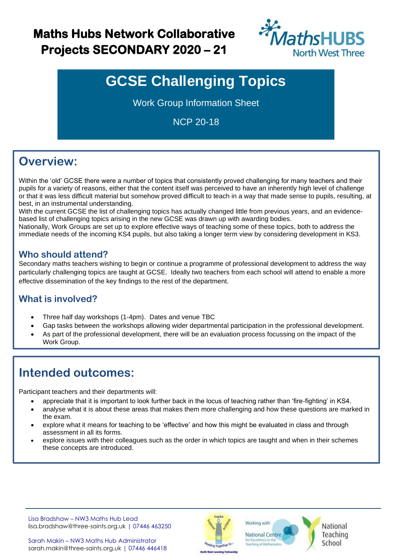## **Maths Hubs Network Collaborative Projects SECONDARY 2020 – 21**



# **GCSE Challenging Topics**

Work Group Information Sheet

NCP 20-18

## **Overview:**

Within the 'old' GCSE there were a number of topics that consistently proved challenging for many teachers and their pupils for a variety of reasons, either that the content itself was perceived to have an inherently high level of challenge or that it was less difficult material but somehow proved difficult to teach in a way that made sense to pupils, resulting, at best, in an instrumental understanding.

With the current GCSE the list of challenging topics has actually changed little from previous years, and an evidencebased list of challenging topics arising in the new GCSE was drawn up with awarding bodies.

Nationally, Work Groups are set up to explore effective ways of teaching some of these topics, both to address the immediate needs of the incoming KS4 pupils, but also taking a longer term view by considering development in KS3.

### **Who should attend?**

Secondary maths teachers wishing to begin or continue a programme of professional development to address the way particularly challenging topics are taught at GCSE. Ideally two teachers from each school will attend to enable a more effective dissemination of the key findings to the rest of the department.

### **What is involved?**

- Three half day workshops (1-4pm). Dates and venue TBC
- Gap tasks between the workshops allowing wider departmental participation in the professional development.
- As part of the professional development, there will be an evaluation process focussing on the impact of the Work Group.

## **Intended outcomes:**

Participant teachers and their departments will:

- appreciate that it is important to look further back in the locus of teaching rather than 'fire-fighting' in KS4.
- analyse what it is about these areas that makes them more challenging and how these questions are marked in the exam.
- explore what it means for teaching to be 'effective' and how this might be evaluated in class and through assessment in all its forms.
- explore issues with their colleagues such as the order in which topics are taught and when in their schemes these concepts are introduced.

Lisa Bradshaw – NW3 Maths Hub Lead [lisa.bradshaw@three-saints.org.uk](mailto:lisa.bradshaw@three-saints.org.uk) | 07446 463250



**National Centre** for Excellence in the<br>Teaching of Mathemati

Working with

National Teaching School

Sarah Makin – NW3 Maths Hub Administrator [sarah.makin@three-saints.org.uk](mailto:sarah.makin@three-saints.org.uk) | 07446 446418